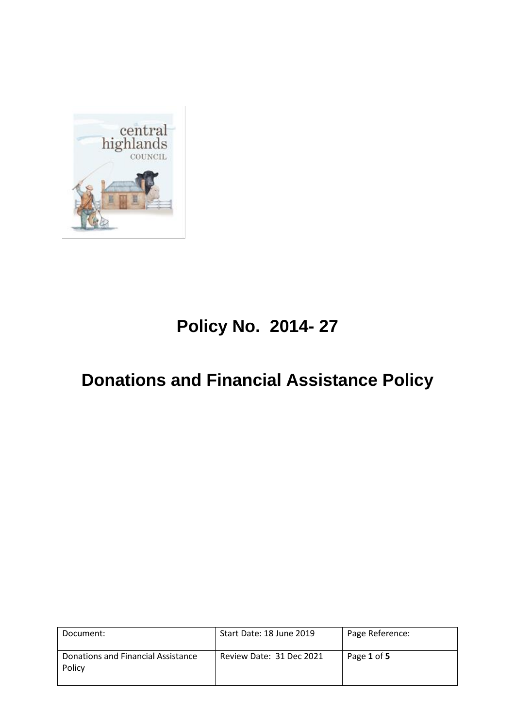

# **Policy No. 2014- 27**

## **Donations and Financial Assistance Policy**

| Document:                                    | Start Date: 18 June 2019 | Page Reference: |
|----------------------------------------------|--------------------------|-----------------|
| Donations and Financial Assistance<br>Policy | Review Date: 31 Dec 2021 | Page 1 of 5     |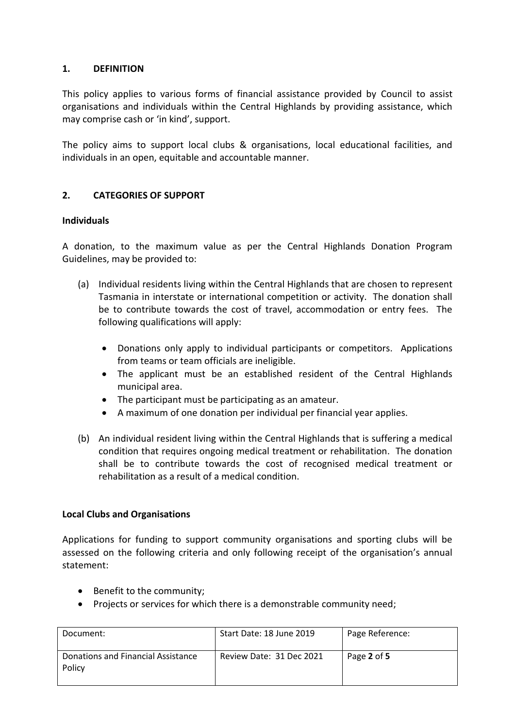### **1. DEFINITION**

This policy applies to various forms of financial assistance provided by Council to assist organisations and individuals within the Central Highlands by providing assistance, which may comprise cash or 'in kind', support.

The policy aims to support local clubs & organisations, local educational facilities, and individuals in an open, equitable and accountable manner.

## **2. CATEGORIES OF SUPPORT**

#### **Individuals**

A donation, to the maximum value as per the Central Highlands Donation Program Guidelines, may be provided to:

- (a) Individual residents living within the Central Highlands that are chosen to represent Tasmania in interstate or international competition or activity. The donation shall be to contribute towards the cost of travel, accommodation or entry fees. The following qualifications will apply:
	- Donations only apply to individual participants or competitors. Applications from teams or team officials are ineligible.
	- The applicant must be an established resident of the Central Highlands municipal area.
	- The participant must be participating as an amateur.
	- A maximum of one donation per individual per financial year applies.
- (b) An individual resident living within the Central Highlands that is suffering a medical condition that requires ongoing medical treatment or rehabilitation. The donation shall be to contribute towards the cost of recognised medical treatment or rehabilitation as a result of a medical condition.

#### **Local Clubs and Organisations**

Applications for funding to support community organisations and sporting clubs will be assessed on the following criteria and only following receipt of the organisation's annual statement:

- Benefit to the community;
- Projects or services for which there is a demonstrable community need;

| Document:                                    | Start Date: 18 June 2019 | Page Reference: |
|----------------------------------------------|--------------------------|-----------------|
| Donations and Financial Assistance<br>Policy | Review Date: 31 Dec 2021 | Page 2 of 5     |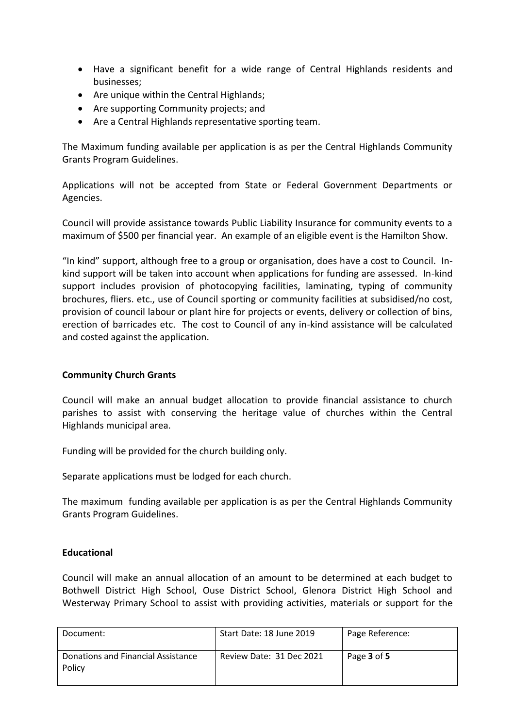- Have a significant benefit for a wide range of Central Highlands residents and businesses;
- Are unique within the Central Highlands;
- Are supporting Community projects; and
- Are a Central Highlands representative sporting team.

The Maximum funding available per application is as per the Central Highlands Community Grants Program Guidelines.

Applications will not be accepted from State or Federal Government Departments or Agencies.

Council will provide assistance towards Public Liability Insurance for community events to a maximum of \$500 per financial year. An example of an eligible event is the Hamilton Show.

"In kind" support, although free to a group or organisation, does have a cost to Council. Inkind support will be taken into account when applications for funding are assessed. In-kind support includes provision of photocopying facilities, laminating, typing of community brochures, fliers. etc., use of Council sporting or community facilities at subsidised/no cost, provision of council labour or plant hire for projects or events, delivery or collection of bins, erection of barricades etc. The cost to Council of any in-kind assistance will be calculated and costed against the application.

#### **Community Church Grants**

Council will make an annual budget allocation to provide financial assistance to church parishes to assist with conserving the heritage value of churches within the Central Highlands municipal area.

Funding will be provided for the church building only.

Separate applications must be lodged for each church.

The maximum funding available per application is as per the Central Highlands Community Grants Program Guidelines.

#### **Educational**

Council will make an annual allocation of an amount to be determined at each budget to Bothwell District High School, Ouse District School, Glenora District High School and Westerway Primary School to assist with providing activities, materials or support for the

| Document:                                    | Start Date: 18 June 2019 | Page Reference: |
|----------------------------------------------|--------------------------|-----------------|
| Donations and Financial Assistance<br>Policy | Review Date: 31 Dec 2021 | Page 3 of 5     |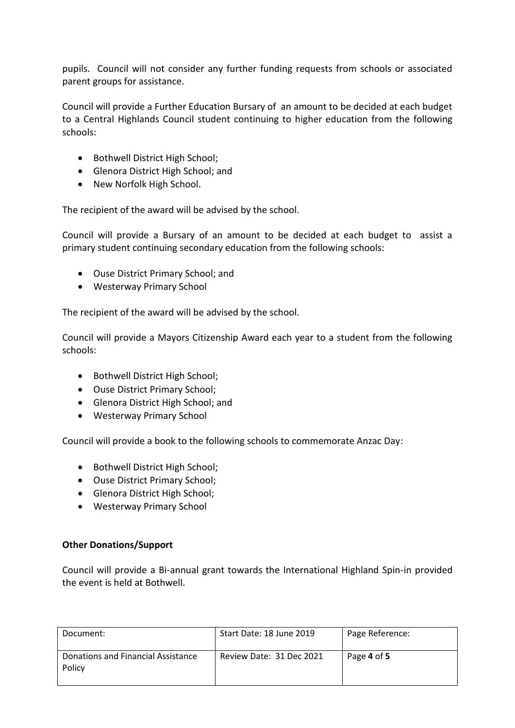pupils. Council will not consider any further funding requests from schools or associated parent groups for assistance.

Council will provide a Further Education Bursary of an amount to be decided at each budget to a Central Highlands Council student continuing to higher education from the following schools:

- Bothwell District High School;
- Glenora District High School; and
- New Norfolk High School.

The recipient of the award will be advised by the school.

Council will provide a Bursary of an amount to be decided at each budget to assist a primary student continuing secondary education from the following schools:

- Ouse District Primary School; and
- Westerway Primary School

The recipient of the award will be advised by the school.

Council will provide a Mayors Citizenship Award each year to a student from the following schools:

- Bothwell District High School:
- Ouse District Primary School;
- Glenora District High School; and
- Westerway Primary School

Council will provide a book to the following schools to commemorate Anzac Day:

- Bothwell District High School;
- Ouse District Primary School;
- Glenora District High School;
- Westerway Primary School

#### **Other Donations/Support**

Council will provide a Bi-annual grant towards the International Highland Spin-in provided the event is held at Bothwell.

| Document:                                    | Start Date: 18 June 2019 | Page Reference: |
|----------------------------------------------|--------------------------|-----------------|
| Donations and Financial Assistance<br>Policy | Review Date: 31 Dec 2021 | Page 4 of 5     |